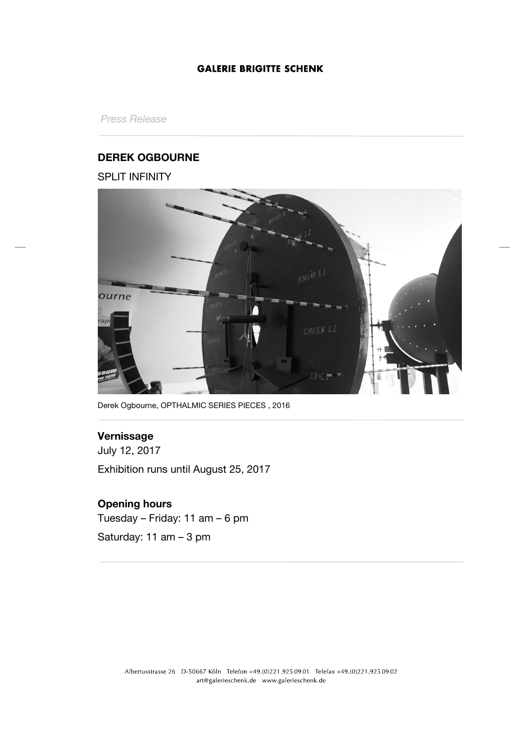## **GALERIE BRIGITTE SCHENK**

*Press Release*

## **DEREK OGBOURNE**

SPLIT INFINITY



Derek Ogbourne, OPTHALMIC SERIES PIECES , 2016

# **Vernissage**

July 12, 2017 Exhibition runs until August 25, 2017

# **Opening hours**

Tuesday – Friday: 11 am – 6 pm Saturday: 11 am – 3 pm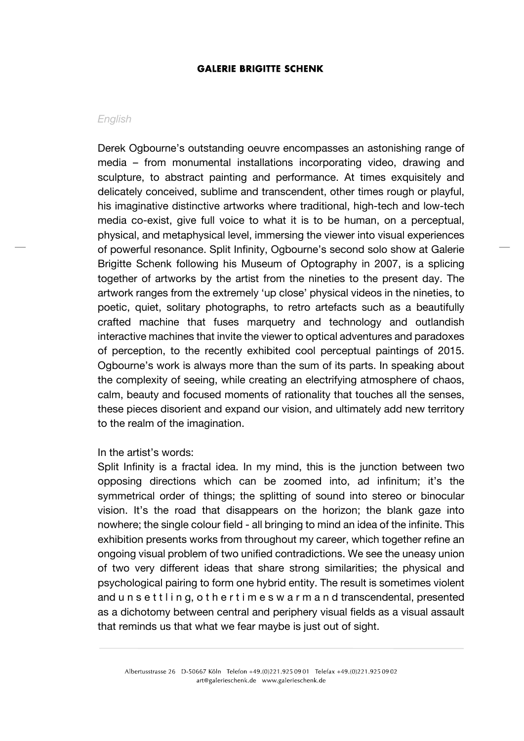### **GALERIE BRIGITTE SCHENK**

#### *English*

Derek Ogbourne's outstanding oeuvre encompasses an astonishing range of media – from monumental installations incorporating video, drawing and sculpture, to abstract painting and performance. At times exquisitely and delicately conceived, sublime and transcendent, other times rough or playful, his imaginative distinctive artworks where traditional, high-tech and low-tech media co-exist, give full voice to what it is to be human, on a perceptual, physical, and metaphysical level, immersing the viewer into visual experiences of powerful resonance. Split Infinity, Ogbourne's second solo show at Galerie Brigitte Schenk following his Museum of Optography in 2007, is a splicing together of artworks by the artist from the nineties to the present day. The artwork ranges from the extremely 'up close' physical videos in the nineties, to poetic, quiet, solitary photographs, to retro artefacts such as a beautifully crafted machine that fuses marquetry and technology and outlandish interactive machines that invite the viewer to optical adventures and paradoxes of perception, to the recently exhibited cool perceptual paintings of 2015. Ogbourne's work is always more than the sum of its parts. In speaking about the complexity of seeing, while creating an electrifying atmosphere of chaos, calm, beauty and focused moments of rationality that touches all the senses, these pieces disorient and expand our vision, and ultimately add new territory to the realm of the imagination.

### In the artist's words:

Split Infinity is a fractal idea. In my mind, this is the junction between two opposing directions which can be zoomed into, ad infinitum; it's the symmetrical order of things; the splitting of sound into stereo or binocular vision. It's the road that disappears on the horizon; the blank gaze into nowhere; the single colour field - all bringing to mind an idea of the infinite. This exhibition presents works from throughout my career, which together refine an ongoing visual problem of two unified contradictions. We see the uneasy union of two very different ideas that share strong similarities; the physical and psychological pairing to form one hybrid entity. The result is sometimes violent and u n s e t t l i n g, o t h e r t i m e s w a r m a n d transcendental, presented as a dichotomy between central and periphery visual fields as a visual assault that reminds us that what we fear maybe is just out of sight.